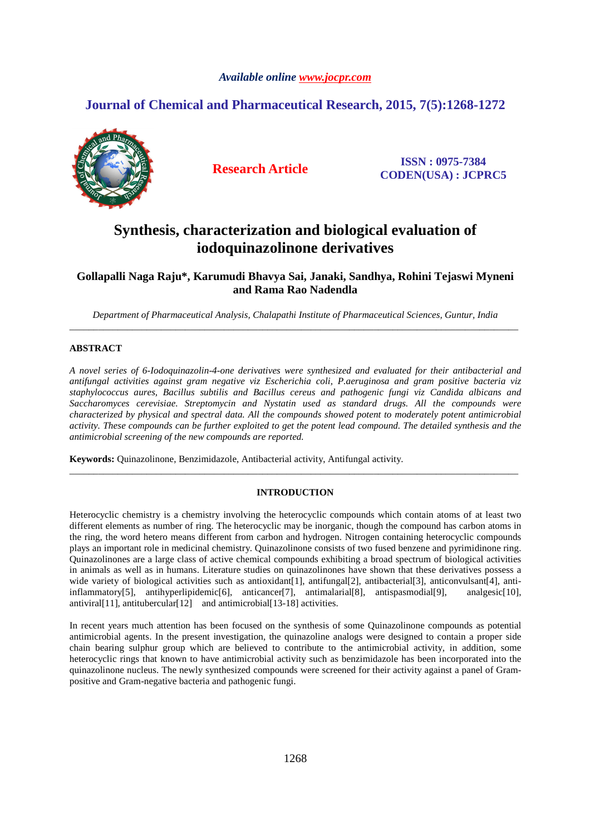# *Available online www.jocpr.com*

# **Journal of Chemical and Pharmaceutical Research, 2015, 7(5):1268-1272**



**Research Article ISSN : 0975-7384 CODEN(USA) : JCPRC5**

# **Synthesis, characterization and biological evaluation of iodoquinazolinone derivatives**

**Gollapalli Naga Raju\*, Karumudi Bhavya Sai, Janaki, Sandhya, Rohini Tejaswi Myneni and Rama Rao Nadendla** 

*Department of Pharmaceutical Analysis, Chalapathi Institute of Pharmaceutical Sciences, Guntur, India*  \_\_\_\_\_\_\_\_\_\_\_\_\_\_\_\_\_\_\_\_\_\_\_\_\_\_\_\_\_\_\_\_\_\_\_\_\_\_\_\_\_\_\_\_\_\_\_\_\_\_\_\_\_\_\_\_\_\_\_\_\_\_\_\_\_\_\_\_\_\_\_\_\_\_\_\_\_\_\_\_\_\_\_\_\_\_\_\_\_\_\_\_\_

# **ABSTRACT**

*A novel series of 6-Iodoquinazolin-4-one derivatives were synthesized and evaluated for their antibacterial and antifungal activities against gram negative viz Escherichia coli, P.aeruginosa and gram positive bacteria viz staphylococcus aures, Bacillus subtilis and Bacillus cereus and pathogenic fungi viz Candida albicans and Saccharomyces cerevisiae. Streptomycin and Nystatin used as standard drugs. All the compounds were characterized by physical and spectral data. All the compounds showed potent to moderately potent antimicrobial activity. These compounds can be further exploited to get the potent lead compound. The detailed synthesis and the antimicrobial screening of the new compounds are reported.* 

**Keywords:** Quinazolinone, Benzimidazole, Antibacterial activity, Antifungal activity.

# **INTRODUCTION**

\_\_\_\_\_\_\_\_\_\_\_\_\_\_\_\_\_\_\_\_\_\_\_\_\_\_\_\_\_\_\_\_\_\_\_\_\_\_\_\_\_\_\_\_\_\_\_\_\_\_\_\_\_\_\_\_\_\_\_\_\_\_\_\_\_\_\_\_\_\_\_\_\_\_\_\_\_\_\_\_\_\_\_\_\_\_\_\_\_\_\_\_\_

Heterocyclic chemistry is a chemistry involving the heterocyclic compounds which contain atoms of at least two different elements as number of ring. The heterocyclic may be inorganic, though the compound has carbon atoms in the ring, the word hetero means different from carbon and hydrogen. Nitrogen containing heterocyclic compounds plays an important role in medicinal chemistry. Quinazolinone consists of two fused benzene and pyrimidinone ring. Quinazolinones are a large class of active chemical compounds exhibiting a broad spectrum of biological activities in animals as well as in humans. Literature studies on quinazolinones have shown that these derivatives possess a wide variety of biological activities such as antioxidant [1], antifungal [2], antibacterial [3], anticonvulsant [4], antiinflammatory[5], antihyperlipidemic[6], anticancer[7], antimalarial[8], antispasmodial[9], analgesic[10], antiviral [11], antitubercular [12] and antimicrobial [13-18] activities.

In recent years much attention has been focused on the synthesis of some Quinazolinone compounds as potential antimicrobial agents. In the present investigation, the quinazoline analogs were designed to contain a proper side chain bearing sulphur group which are believed to contribute to the antimicrobial activity, in addition, some heterocyclic rings that known to have antimicrobial activity such as benzimidazole has been incorporated into the quinazolinone nucleus. The newly synthesized compounds were screened for their activity against a panel of Grampositive and Gram-negative bacteria and pathogenic fungi.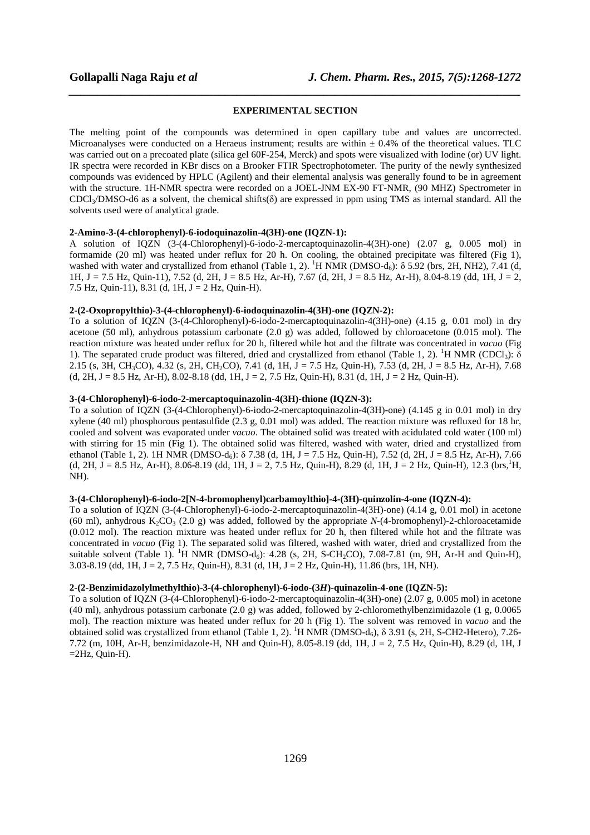# *\_\_\_\_\_\_\_\_\_\_\_\_\_\_\_\_\_\_\_\_\_\_\_\_\_\_\_\_\_\_\_\_\_\_\_\_\_\_\_\_\_\_\_\_\_\_\_\_\_\_\_\_\_\_\_\_\_\_\_\_\_\_\_\_\_\_\_\_\_\_\_\_\_\_\_\_\_\_* **EXPERIMENTAL SECTION**

The melting point of the compounds was determined in open capillary tube and values are uncorrected. Microanalyses were conducted on a Heraeus instrument; results are within  $\pm$  0.4% of the theoretical values. TLC was carried out on a precoated plate (silica gel 60F-254, Merck) and spots were visualized with Iodine (or) UV light. IR spectra were recorded in KBr discs on a Brooker FTIR Spectrophotometer. The purity of the newly synthesized compounds was evidenced by HPLC (Agilent) and their elemental analysis was generally found to be in agreement with the structure. 1H-NMR spectra were recorded on a JOEL-JNM EX-90 FT-NMR, (90 MHZ) Spectrometer in  $CDCl<sub>3</sub>/DMSO-d6$  as a solvent, the chemical shifts( $\delta$ ) are expressed in ppm using TMS as internal standard. All the solvents used were of analytical grade.

## **2-Amino-3-(4-chlorophenyl)-6-iodoquinazolin-4(3H)-one (IQZN-1):**

A solution of IQZN (3-(4-Chlorophenyl)-6-iodo-2-mercaptoquinazolin-4(3H)-one) (2.07 g, 0.005 mol) in formamide (20 ml) was heated under reflux for 20 h. On cooling, the obtained precipitate was filtered (Fig 1), washed with water and crystallized from ethanol (Table 1, 2). <sup>1</sup>H NMR (DMSO-d<sub>6</sub>):  $\delta$  5.92 (brs, 2H, NH2), 7.41 (d, 1H, J = 7.5 Hz, Quin-11), 7.52 (d, 2H, J = 8.5 Hz, Ar-H), 7.67 (d, 2H, J = 8.5 Hz, Ar-H), 8.04-8.19 (dd, 1H, J = 2, 7.5 Hz, Quin-11), 8.31 (d, 1H,  $J = 2$  Hz, Quin-H).

## **2-(2-Oxopropylthio)-3-(4-chlorophenyl)-6-iodoquinazolin-4(3H)-one (IQZN-2):**

To a solution of IQZN (3-(4-Chlorophenyl)-6-iodo-2-mercaptoquinazolin-4(3H)-one) (4.15 g, 0.01 mol) in dry acetone (50 ml), anhydrous potassium carbonate (2.0 g) was added, followed by chloroacetone (0.015 mol). The reaction mixture was heated under reflux for 20 h, filtered while hot and the filtrate was concentrated in *vacuo* (Fig 1). The separated crude product was filtered, dried and crystallized from ethanol (Table 1, 2). <sup>1</sup>H NMR (CDCl<sub>3</sub>): δ 2.15 (s, 3H, CH<sub>3</sub>CO), 4.32 (s, 2H, CH<sub>2</sub>CO), 7.41 (d, 1H, J = 7.5 Hz, Quin-H), 7.53 (d, 2H, J = 8.5 Hz, Ar-H), 7.68  $(d, 2H, J = 8.5 Hz, Ar-H), 8.02-8.18 (dd, 1H, J = 2, 7.5 Hz, Quin-H), 8.31 (d, 1H, J = 2 Hz, Quin-H).$ 

## **3-(4-Chlorophenyl)-6-iodo-2-mercaptoquinazolin-4(3H)-thione (IQZN-3):**

To a solution of IQZN (3-(4-Chlorophenyl)-6-iodo-2-mercaptoquinazolin-4(3H)-one) (4.145 g in 0.01 mol) in dry xylene (40 ml) phosphorous pentasulfide (2.3 g, 0.01 mol) was added. The reaction mixture was refluxed for 18 hr, cooled and solvent was evaporated under *vacuo*. The obtained solid was treated with acidulated cold water (100 ml) with stirring for 15 min (Fig 1). The obtained solid was filtered, washed with water, dried and crystallized from ethanol (Table 1, 2). 1H NMR (DMSO-d<sub>6</sub>):  $\delta$  7.38 (d, 1H, J = 7.5 Hz, Quin-H), 7.52 (d, 2H, J = 8.5 Hz, Ar-H), 7.66 (d, 2H, J = 8.5 Hz, Ar-H), 8.06-8.19 (dd, 1H, J = 2, 7.5 Hz, Quin-H), 8.29 (d, 1H, J = 2 Hz, Quin-H), 12.3 (brs,<sup>1</sup>H, NH).

### **3-(4-Chlorophenyl)-6-iodo-2[N-4-bromophenyl)carbamoylthio]-4-(3H)-quinzolin-4-one (IQZN-4):**

To a solution of IQZN (3-(4-Chlorophenyl)-6-iodo-2-mercaptoquinazolin-4(3H)-one) (4.14 g, 0.01 mol) in acetone (60 ml), anhydrous  $K_2CO_3$  (2.0 g) was added, followed by the appropriate *N*-(4-bromophenyl)-2-chloroacetamide (0.012 mol). The reaction mixture was heated under reflux for 20 h, then filtered while hot and the filtrate was concentrated in *vacuo* (Fig 1). The separated solid was filtered, washed with water, dried and crystallized from the suitable solvent (Table 1). <sup>1</sup>H NMR (DMSO-d<sub>6</sub>): 4.28 (s, 2H, S-CH<sub>2</sub>CO), 7.08-7.81 (m, 9H, Ar-H and Quin-H), 3.03-8.19 (dd, 1H, J = 2, 7.5 Hz, Quin-H), 8.31 (d, 1H, J = 2 Hz, Quin-H), 11.86 (brs, 1H, NH).

# **2-(2-Benzimidazolylmethylthio)-3-(4-chlorophenyl)-6-iodo-(3***H***)-quinazolin-4-one (IQZN-5):**

To a solution of IQZN (3-(4-Chlorophenyl)-6-iodo-2-mercaptoquinazolin-4(3H)-one) (2.07 g, 0.005 mol) in acetone (40 ml), anhydrous potassium carbonate (2.0 g) was added, followed by 2-chloromethylbenzimidazole (1 g, 0.0065 mol). The reaction mixture was heated under reflux for 20 h (Fig 1). The solvent was removed in *vacuo* and the obtained solid was crystallized from ethanol (Table 1, 2). <sup>1</sup>H NMR (DMSO-d<sub>6</sub>),  $\delta$  3.91 (s, 2H, S-CH2-Hetero), 7.26-7.72 (m, 10H, Ar-H, benzimidazole-H, NH and Quin-H), 8.05-8.19 (dd, 1H, J = 2, 7.5 Hz, Quin-H), 8.29 (d, 1H, J  $=2Hz$ , Quin-H).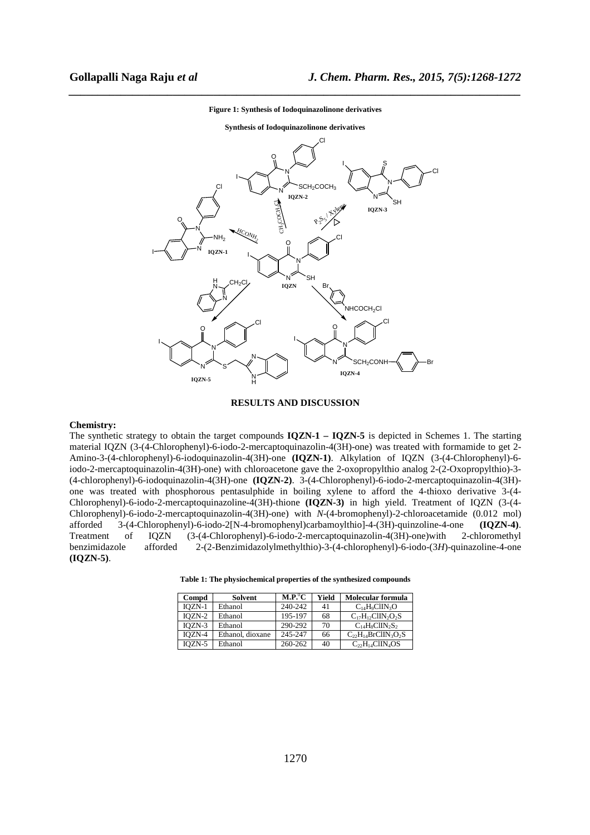

# *\_\_\_\_\_\_\_\_\_\_\_\_\_\_\_\_\_\_\_\_\_\_\_\_\_\_\_\_\_\_\_\_\_\_\_\_\_\_\_\_\_\_\_\_\_\_\_\_\_\_\_\_\_\_\_\_\_\_\_\_\_\_\_\_\_\_\_\_\_\_\_\_\_\_\_\_\_\_* **Figure 1: Synthesis of Iodoquinazolinone derivatives**

### **RESULTS AND DISCUSSION**

# **Chemistry:**

The synthetic strategy to obtain the target compounds **IQZN-1 – IQZN-5** is depicted in Schemes 1. The starting material IQZN (3-(4-Chlorophenyl)-6-iodo-2-mercaptoquinazolin-4(3H)-one) was treated with formamide to get 2- Amino-3-(4-chlorophenyl)-6-iodoquinazolin-4(3H)-one **(IQZN-1)**. Alkylation of IQZN (3-(4-Chlorophenyl)-6 iodo-2-mercaptoquinazolin-4(3H)-one) with chloroacetone gave the 2-oxopropylthio analog 2-(2-Oxopropylthio)-3- (4-chlorophenyl)-6-iodoquinazolin-4(3H)-one **(IQZN-2)**. 3-(4-Chlorophenyl)-6-iodo-2-mercaptoquinazolin-4(3H) one was treated with phosphorous pentasulphide in boiling xylene to afford the 4-thioxo derivative 3-(4- Chlorophenyl)-6-iodo-2-mercaptoquinazoline-4(3H)-thione **(IQZN-3)** in high yield. Treatment of IQZN (3-(4- Chlorophenyl)-6-iodo-2-mercaptoquinazolin-4(3H)-one) with *N*-(4-bromophenyl)-2-chloroacetamide (0.012 mol) afforded 3-(4-Chlorophenyl)-6-iodo-2[N-4-bromophenyl)carbamoylthio]-4-(3H)-quinzoline-4-one **(IQZN-4)**. Treatment of IQZN (3-(4-Chlorophenyl)-6-iodo-2-mercaptoquinazolin-4(3H)-one)with 2-chloromethyl benzimidazole afforded 2-(2-Benzimidazolylmethylthio)-3-(4-chlorophenyl)-6-iodo-(3*H*)-quinazoline-4-one **(IQZN-5)**.

| Table 1: The physiochemical properties of the synthesized compounds |  |  |  |  |  |  |  |  |  |
|---------------------------------------------------------------------|--|--|--|--|--|--|--|--|--|
|---------------------------------------------------------------------|--|--|--|--|--|--|--|--|--|

| Compd    | <b>Solvent</b>   | $\mathbf{M}.\mathbf{P}^0\mathbf{C}$ | Yield | Molecular formula          |
|----------|------------------|-------------------------------------|-------|----------------------------|
| $IOZN-1$ | Ethanol          | 240-242                             | 41    | $C_{14}H_9ClIN_3O$         |
| $IOZN-2$ | Ethanol          | 195-197                             | 68    | $C_{17}H_{12}ClIN_2O_2S$   |
| $IOZN-3$ | Ethanol          | 290-292                             | 70    | $C_{14}H_8ClIN_2S_2$       |
| $IOZN-4$ | Ethanol, dioxane | 245-247                             | 66    | $C_{22}H_{14}BrClIN_3O_2S$ |
| IOZN-5   | Ethanol          | 260-262                             | 40    | $C_{22}H_{14}ClIN_4OS$     |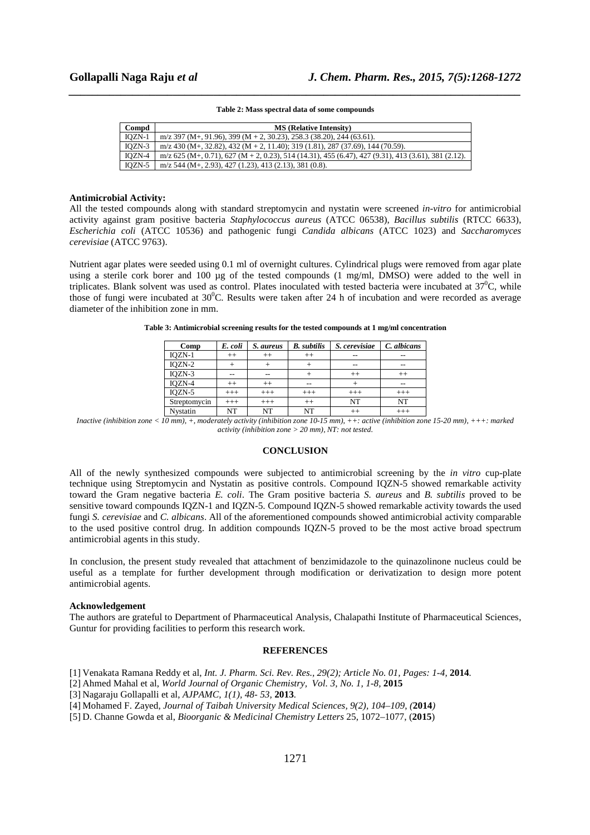# *\_\_\_\_\_\_\_\_\_\_\_\_\_\_\_\_\_\_\_\_\_\_\_\_\_\_\_\_\_\_\_\_\_\_\_\_\_\_\_\_\_\_\_\_\_\_\_\_\_\_\_\_\_\_\_\_\_\_\_\_\_\_\_\_\_\_\_\_\_\_\_\_\_\_\_\_\_\_* **Table 2: Mass spectral data of some compounds**

| Compd    | <b>MS</b> (Relative Intensity)                                                                        |
|----------|-------------------------------------------------------------------------------------------------------|
| $IOZN-1$ | m/z 397 (M+, 91.96), 399 (M + 2, 30.23), 258.3 (38.20), 244 (63.61).                                  |
| $IOZN-3$ | $m/z$ 430 (M+, 32.82), 432 (M + 2, 11.40); 319 (1.81), 287 (37.69), 144 (70.59).                      |
| IOZN-4   | $m/z$ 625 (M+, 0.71), 627 (M + 2, 0.23), 514 (14.31), 455 (6.47), 427 (9.31), 413 (3.61), 381 (2.12). |
| IOZN-5   | $m/z$ 544 (M+, 2.93), 427 (1.23), 413 (2.13), 381 (0.8).                                              |

#### **Antimicrobial Activity:**

All the tested compounds along with standard streptomycin and nystatin were screened *in-vitro* for antimicrobial activity against gram positive bacteria *Staphylococcus aureus* (ATCC 06538), *Bacillus subtilis* (RTCC 6633), *Escherichia coli* (ATCC 10536) and pathogenic fungi *Candida albicans* (ATCC 1023) and *Saccharomyces cerevisiae* (ATCC 9763).

Nutrient agar plates were seeded using 0.1 ml of overnight cultures. Cylindrical plugs were removed from agar plate using a sterile cork borer and 100 µg of the tested compounds (1 mg/ml, DMSO) were added to the well in triplicates. Blank solvent was used as control. Plates inoculated with tested bacteria were incubated at  $37^{\circ}$ C, while those of fungi were incubated at  $30^0$ C. Results were taken after 24 h of incubation and were recorded as average diameter of the inhibition zone in mm.

| Comp         | E. coli | S. aureus | <b>B.</b> subtilis | S. cerevisiae | C. albicans |
|--------------|---------|-----------|--------------------|---------------|-------------|
| IQZN-1       | $^{++}$ | $^{++}$   | $^{++}$            | $-$           | --          |
| $IQZN-2$     |         |           |                    | $-$           | $-$         |
| IQZN-3       |         |           | $^{++}$            |               | $^{++}$     |
| IQZN-4       | $^{++}$ | $^{++}$   | --                 |               | $-$         |
| $IQZN-5$     | $+++$   | $^{+++}$  | $+++$              | $+++$         | $+++$       |
| Streptomycin | $+++$   | $+++$     | $++$               | NT            | NT          |
| Nystatin     | NT      | NT        | NT                 | $^{++}$       | $+++$       |

**Table 3: Antimicrobial screening results for the tested compounds at 1 mg/ml concentration** 

*Inactive (inhibition zone < 10 mm), +, moderately activity (inhibition zone 10-15 mm), ++: active (inhibition zone 15-20 mm), +++: marked activity (inhibition zone > 20 mm), NT: not tested.*

# **CONCLUSION**

All of the newly synthesized compounds were subjected to antimicrobial screening by the *in vitro* cup-plate technique using Streptomycin and Nystatin as positive controls. Compound IQZN-5 showed remarkable activity toward the Gram negative bacteria *E. coli*. The Gram positive bacteria *S. aureus* and *B. subtilis* proved to be sensitive toward compounds IQZN-1 and IQZN-5. Compound IQZN-5 showed remarkable activity towards the used fungi *S. cerevisiae* and *C. albicans*. All of the aforementioned compounds showed antimicrobial activity comparable to the used positive control drug. In addition compounds IQZN-5 proved to be the most active broad spectrum antimicrobial agents in this study.

In conclusion, the present study revealed that attachment of benzimidazole to the quinazolinone nucleus could be useful as a template for further development through modification or derivatization to design more potent antimicrobial agents.

## **Acknowledgement**

The authors are grateful to Department of Pharmaceutical Analysis, Chalapathi Institute of Pharmaceutical Sciences, Guntur for providing facilities to perform this research work.

## **REFERENCES**

- [1] Venakata Ramana Reddy et al, *Int. J. Pharm. Sci. Rev. Res., 29(2); Article No. 01, Pages: 1-4,* **2014***.*
- [2] Ahmed Mahal et al, *World Journal of Organic Chemistry, Vol. 3, No. 1, 1-8,* **2015**
- [3] Nagaraju Gollapalli et al, *AJPAMC, 1(1), 48- 53,* **2013***.*
- [4] Mohamed F. Zayed, *Journal of Taibah University Medical Sciences, 9(2), 104–109*, *(***2014***)*
- [5] D. Channe Gowda et al, *Bioorganic & Medicinal Chemistry Letters* 25, 1072–1077, (**2015**)